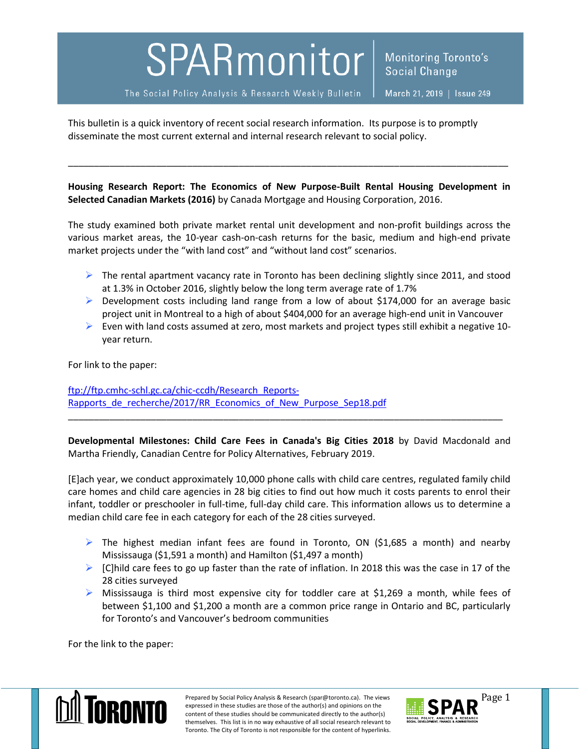## SPARmonitor

The Social Policy Analysis & Research Weekly Bulletin

**Monitoring Toronto's** Social Change

This bulletin is a quick inventory of recent social research information. Its purpose is to promptly disseminate the most current external and internal research relevant to social policy.

**Housing Research Report: The Economics of New Purpose-Built Rental Housing Development in Selected Canadian Markets (2016)** by Canada Mortgage and Housing Corporation, 2016.

\_\_\_\_\_\_\_\_\_\_\_\_\_\_\_\_\_\_\_\_\_\_\_\_\_\_\_\_\_\_\_\_\_\_\_\_\_\_\_\_\_\_\_\_\_\_\_\_\_\_\_\_\_\_\_\_\_\_\_\_\_\_\_\_\_\_\_\_\_\_\_\_\_\_\_\_\_\_\_\_\_\_\_\_\_

The study examined both private market rental unit development and non-profit buildings across the various market areas, the 10-year cash-on-cash returns for the basic, medium and high-end private market projects under the "with land cost" and "without land cost" scenarios.

- $\triangleright$  The rental apartment vacancy rate in Toronto has been declining slightly since 2011, and stood at 1.3% in October 2016, slightly below the long term average rate of 1.7%
- $\triangleright$  Development costs including land range from a low of about \$174,000 for an average basic project unit in Montreal to a high of about \$404,000 for an average high-end unit in Vancouver
- Even with land costs assumed at zero, most markets and project types still exhibit a negative 10year return.

For link to the paper:

[ftp://ftp.cmhc-schl.gc.ca/chic-ccdh/Research\\_Reports-](ftp://ftp.cmhc-schl.gc.ca/chic-ccdh/Research_Reports-Rapports_de_recherche/2017/RR_Economics_of_New_Purpose_Sep18.pdf)Rapports de recherche/2017/RR Economics of New Purpose Sep18.pdf

**Developmental Milestones: Child Care Fees in Canada's Big Cities 2018** by David Macdonald and Martha Friendly, Canadian Centre for Policy Alternatives, February 2019.

\_\_\_\_\_\_\_\_\_\_\_\_\_\_\_\_\_\_\_\_\_\_\_\_\_\_\_\_\_\_\_\_\_\_\_\_\_\_\_\_\_\_\_\_\_\_\_\_\_\_\_\_\_\_\_\_\_\_\_\_\_\_\_\_\_\_\_\_\_\_\_\_\_\_\_\_\_\_\_\_\_\_\_\_

[E]ach year, we conduct approximately 10,000 phone calls with child care centres, regulated family child care homes and child care agencies in 28 big cities to find out how much it costs parents to enrol their infant, toddler or preschooler in full-time, full-day child care. This information allows us to determine a median child care fee in each category for each of the 28 cities surveyed.

- $\triangleright$  The highest median infant fees are found in Toronto, ON (\$1,685 a month) and nearby Mississauga (\$1,591 a month) and Hamilton (\$1,497 a month)
- $\triangleright$  [C]hild care fees to go up faster than the rate of inflation. In 2018 this was the case in 17 of the 28 cities surveyed
- $\triangleright$  Mississauga is third most expensive city for toddler care at \$1,269 a month, while fees of between \$1,100 and \$1,200 a month are a common price range in Ontario and BC, particularly for Toronto's and Vancouver's bedroom communities

For the link to the paper:



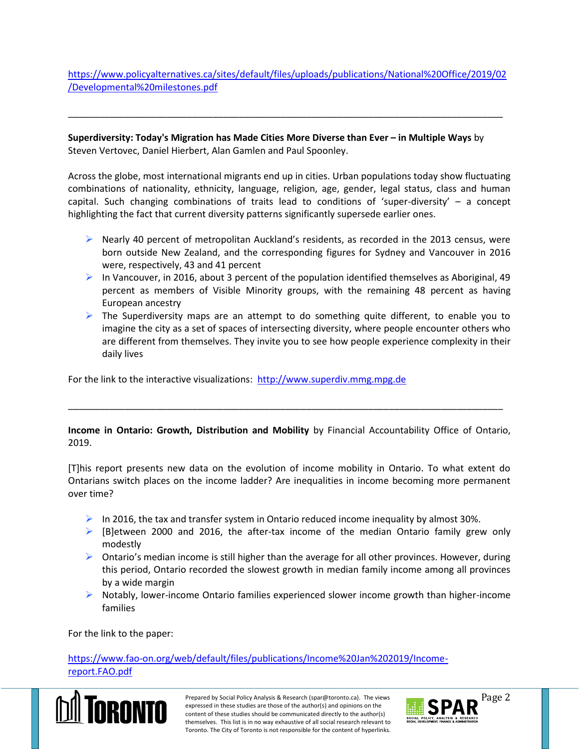[https://www.policyalternatives.ca/sites/default/files/uploads/publications/National%20Office/2019/02](https://www.policyalternatives.ca/sites/default/files/uploads/publications/National%20Office/2019/02/Developmental%20milestones.pdf) [/Developmental%20milestones.pdf](https://www.policyalternatives.ca/sites/default/files/uploads/publications/National%20Office/2019/02/Developmental%20milestones.pdf)

\_\_\_\_\_\_\_\_\_\_\_\_\_\_\_\_\_\_\_\_\_\_\_\_\_\_\_\_\_\_\_\_\_\_\_\_\_\_\_\_\_\_\_\_\_\_\_\_\_\_\_\_\_\_\_\_\_\_\_\_\_\_\_\_\_\_\_\_\_\_\_\_\_\_\_\_\_\_\_\_\_\_\_\_

**Superdiversity: Today's Migration has Made Cities More Diverse than Ever – in Multiple Ways** by Steven Vertovec, Daniel Hierbert, Alan Gamlen and Paul Spoonley.

Across the globe, most international migrants end up in cities. Urban populations today show fluctuating combinations of nationality, ethnicity, language, religion, age, gender, legal status, class and human capital. Such changing combinations of traits lead to conditions of 'super-diversity' – a concept highlighting the fact that current diversity patterns significantly supersede earlier ones.

- $\triangleright$  Nearly 40 percent of metropolitan Auckland's residents, as recorded in the 2013 census, were born outside New Zealand, and the corresponding figures for Sydney and Vancouver in 2016 were, respectively, 43 and 41 percent
- In Vancouver, in 2016, about 3 percent of the population identified themselves as Aboriginal, 49 percent as members of Visible Minority groups, with the remaining 48 percent as having European ancestry
- $\triangleright$  The Superdiversity maps are an attempt to do something quite different, to enable you to imagine the city as a set of spaces of intersecting diversity, where people encounter others who are different from themselves. They invite you to see how people experience complexity in their daily lives

For the link to the interactive visualizations: http://www.superdiv.mmg.mpg.de

## **Income in Ontario: Growth, Distribution and Mobility** by Financial Accountability Office of Ontario, 2019.

\_\_\_\_\_\_\_\_\_\_\_\_\_\_\_\_\_\_\_\_\_\_\_\_\_\_\_\_\_\_\_\_\_\_\_\_\_\_\_\_\_\_\_\_\_\_\_\_\_\_\_\_\_\_\_\_\_\_\_\_\_\_\_\_\_\_\_\_\_\_\_\_\_\_\_\_\_\_\_\_\_\_\_\_

[T]his report presents new data on the evolution of income mobility in Ontario. To what extent do Ontarians switch places on the income ladder? Are inequalities in income becoming more permanent over time?

- In 2016, the tax and transfer system in Ontario reduced income inequality by almost 30%.
- $\triangleright$  [B]etween 2000 and 2016, the after-tax income of the median Ontario family grew only modestly
- $\triangleright$  Ontario's median income is still higher than the average for all other provinces. However, during this period, Ontario recorded the slowest growth in median family income among all provinces by a wide margin
- $\triangleright$  Notably, lower-income Ontario families experienced slower income growth than higher-income families

For the link to the paper:

[https://www.fao-on.org/web/default/files/publications/Income%20Jan%202019/Income](https://www.fao-on.org/web/default/files/publications/Income%20Jan%202019/Income-report.FAO.pdf)[report.FAO.pdf](https://www.fao-on.org/web/default/files/publications/Income%20Jan%202019/Income-report.FAO.pdf)